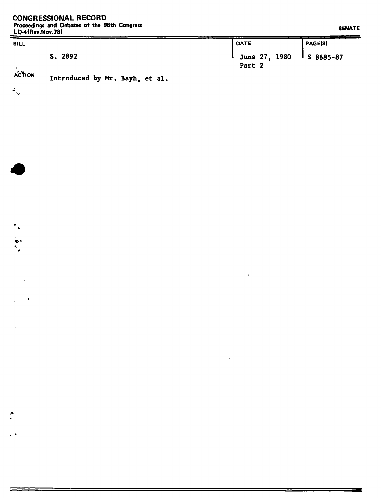$\mathcal{A}_{\mathbf{q}}$ 

 $\overline{\phantom{a}}_k$ 

ß

 $\overline{\phantom{a}}$ 

| ------------------ |                                               |         |
|--------------------|-----------------------------------------------|---------|
| <b>BILL</b>        | <b>DATE</b>                                   | PAGE(S) |
| S. 2892            | June 27, 1980 $\frac{1}{5}$ 8685-87<br>Part 2 |         |

 $\epsilon$ 

 $\cdot$ 

## **ACTION Introduced by Mr. Bayh, et al,**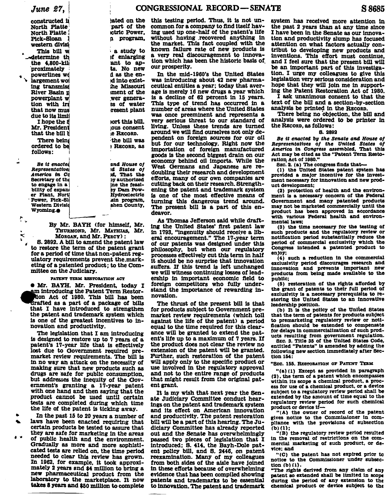Be it enacted Representative America in Co Secretary of the to engage in a bility of expand er Plant, Nort Power, Pick-Sl Western Divisio Wyoming.

 $\mathcal{P}_{\mathcal{M}}$ 

 $\tilde{\cdot}$ 

By Mr. BAYH (for himself, Mr. THURMOND, Mr. MATHIAS, Mr. MORGAN, and Mr. PERCY):

part of the

ictric Power.

a program,

a study to

if enlarging

ant to ap-

ts. No new

d as the en-

d into exist-

he Missouri

ment of the

wer genera-

es of water

resent plant

tort this bill.

lous consent

the bill was

RECORD, as

and House of

id States of

id. That the

**by authorized** 

ine the feasi-

by Dam Pow-<br>Hydroelectric

sin program,

shen County.

e RECORD.

S. 2892. A bill to amend the patent law to restore the term of the patent grant for a period of time that non-patent regulatory requirements prevent the marketing of a patented product; to the Committee on the Judiciary.

#### PATENT TERM RESTORATION ACT

**. Mr. BAYH. Mr. President. today I** am introducing the Patent Term Restortion Act of 1980. This bill has been drafted as a part of a package of bills that I have introduced to strengthen the patent and trademark system which is one of the greatest incentives to innovation and productivity.

The legislation that I am introducing is designed to restore up to 7 years of a patent's 17-year life that is effectively lost due to Government required premarket review requirements. The bill is in no way an attack on the necessity of making sure that new products such as drugs are safe for public consumption. but addresses the inequity of the Government's granting a 17-year patent with one hand and then saying that the product cannot be used until certain tests are completed during which time the life of the patent is ticking away.

In the past 15 to 20 years a number of laws have been enacted requiring that certain products be tested to assure that they are safe for marketing in the areas of public health and the environment. Gradually as more and more sophisticated tests are relied on, the time period needed to clear this review has grown. In 1962, for example, it took approximately 2 years and \$4 million to bring a new pharmaceutical product from the laboratory to the marketplace. It now takes 8 years and \$50 million to complete

this testing period. Thus, it is not unated on the common for a company to find itself having used up one-half of the patent's life without having recovered anything in the market. This fact coupled with the known failure rate of new products is a very real discouragement to innovation which has been the historic basis of our prosperity.

> In the mid-1960's the United States was introducing about 42 new pharmaceutical entities a year; today that average is merely 16 new drugs a year which is a decline of 62 percent in 15 years. This type of trend has occurred in a number of areas where the United States was once preeminent and represents a very serious threat to our standard of living. Unless these trends are turned around we will find ourselves not only dependent on foreign sources for our oil but for our technology. Right now the importation of foreign manufactured goods is the second biggest drain on our economy behind oil imports. While the West Germans and Japanese are redoubling their research and development efforts, many of our own companies are cutting back on their research. Strengthening the patent and trademark system is one of the most effective means of turning this dangerous trend around. The present bill is a part of this endeavor.

> As Thomas Jefferson said while drafting the United States' first patent law<br>in 1793, "ingenuity should receive a liberal encouragement." The 17-year term of our patents was designed under this philosophy, but when our regulatory<br>processes effectively cut this term in half it should be no surprise that innovation suffers. If this trend is left unchanged we will witness continuing losses of leadership in important economic field to foreign competitors who fully understand the importance of rewarding innovation.

> The thrust of the present bill is that for products subject to Government premarket review requirements (which toll against the life of the patent) a period equal to the time required for this clearance will be granted to extend the patent's life up to a maximum of 7 years. If the product does not clear the review no extension of the patent will be granted. Further, such restoration of the patent will apply only to the specific product or use involved in the regulatory approval and not to the entire range of products that might result from the original patent grant.

> It is my wish that next year the Senate Judiciary Committee conduct hearings on the patent and trademark system and its effect on American innovation and productivity. The patent restoration bill will be a part of this hearing. The Judiciary Committee has already reported out and the Senate has overwhelmingly passed two pieces of legislation that I introduced; S. 414, the Bayh-Dole patent policy bill, and S. 2446, on patent reexamination. Many of my colleagues from both sides of the aisle have joined in these efforts because of overwhelming evidence that has been compiled showing patents and trademarks to be essential to innovation. The patent and trademark

system has received more attention in the past 2 years than at any time since I have been in the Senate as our innovation and productivity slump has focused attention on what factors actually contribut to developing new products and inventions. This effort must continue, and I feel sure that the present bill will be an important part of this investigation. I urge my colleagues to give this legislation very serious consideration and hope that they will join me in supporting the Patent Restoration Act of 1980.

I ask unanimous consent to that the text of the bill and a section-by-section analysis be printed in the RECORD.

There being no objection, the bill and analysis were ordered to be printer in the RECORD, as follows:

### **B. 2892**

Be it enacted by the Senate and House of Representatives of the United States of<br>America in Congress assembled, That this Act may be cited as the "Patent Term Restoration Act of 1980."

SEC. 2. (a) The congress finds that-

(1) the United States patent system has<br>provided a major incentive for the investment necessary for innovation and new product development;

(2) protection of health and the environment is a necessary concern of the Federal Government and many patented products may not be marketed commercially until the product has been approved in accordance with various Federal health and environmental laws:

(3) the time necessary for the testing of such products and the regulatory review or notification period substantially reduce the period of commercial exclusivity which the Congress intended a patented product to enjoy;

(4) such a reduction in the commercial exclusivity period discourages research and<br>innovation and prevents important new products from being made available to the public:

(5) restoration of the rights afforded by the grant of patents to their full period of exclusivity is a necessary prerequisite to restoring the United States to an innovative leadership position.

(b) It is the policy of the United States that the term of patents for products subject to premarketing regulatory review or notification should be extended to compensate for delays in commercialization of such products resulting from government regulation.

SEC. 3. Title 35 of the United States Code, entitled "Patents" is amended by adding the following new section immediately after Section 154:

#### "SEC. 155. RESTORATION OF PATENT TERM

"(a) (1) Except as provided in paragraph (2), the term of a patent which encompasses within its scope a chemical product, a process for use of a chemical product, or a device subject to a regulatory review period shall be extended by the amount of time equal to the regulatory review period for such chemical product or device if-

"(A) the owner of record of the patent gives notice to the Commissioner in compliance with the provisions of subsection  $(b)$  (1);

"(B) the regulatory review period resulted in the removal of restrictions on the commercial marketing of such product, or device; and

"(C) the patent has not expired prior to notice to the Commissioner under subsection (b) (1).

"The rights derived from any claim of any patent so extended shall be limited in scope during the period of any extension to the chemical product or device subject to the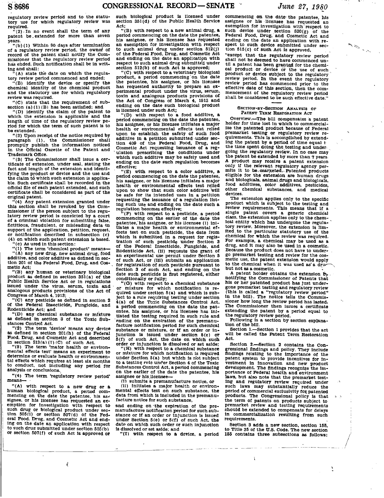regulatory review period and to the statu-<br>tory use for which regulatory review was tory use for which regulatory review was required. "(2). In no event shall the term of any

patent be extended for more than seven<br>years.<br>"(b) (1) Within 90 days after termination

of a regulatory review period, the owner of record of the patent shall notify the Commissioner that the regulatory review period has ended. Such notification shall be in writing and shall:

 $f(A)$  state the date on which the regulatory review period commenced and ended;

"(B) identify the device or specify the chemlcal identlty of the chemlcal product and the statutory use for which regulatory review was required.

"(C) state that the requirement of subsection  $(a) (1) (B)$  has been satisfied; and

(D) identlfy the claim of the patent to which the extension is applicable and the length of time of the regulatory review period for whlch the term of such patent is to be extended.

" (2) Upon recelpt of the notice required by paragraph (1). the Commissloner shall promptly publlsh the informatlon noticed in the Official Gazette of the Patent and

Trademark Office.<br>"(3) The Commissioner shall issue a certificate of extension, under seal, stating the fact and length of the extension and identifying the product or device and the use and the claim to which such extension is applicable. Such certiflcate shall be recorded in the official flle of each patent extended. and such certiflcate shall be considered as part of the original patent.<br>"(4) Any patent extension granted under

this section shall be revoked by the Commissioner if the person subject to the regulatory revlew period is convicted by a court of a criminal vlolatlon for submlttlng false, flctitlous. fraudulent, or misleading data in support of the appllcation, petition, request, or notlflcation described in subsection (c) (41 on whioh such patent extension Is based.

"(c) As used in this section:<br>"(1) The term 'chemical product' means-

"(A) any new drug, new animal drug, food<br>additive, and color additive as defined in section 201 of the Federal Food, Drug, and Cosmetic Act:

"(B) any human or veterlnary blological product as deflned in section 351(a) of the Public Health Bervice Act or in regulations issued under the virus, serum, toxin and analogous products provisions of the Act of Congress of March 4, 1913;

**(C)** any pesticide as de'flned in section **2**  of the Federal Insecticide, Fungicide, and Rodenticide Act; and<br>"(D) any chemical substance or mixture

as defined in section 3 of the Toxic Substances Control Act.

**"(2)** The term 'device' means any device as defined in Section 201(h) of the Federal Food. Drug, and Cosmetic Act and described in, section  $513(R) (1) (C)$  of such Act.

(3) The term 'mator health **or** envlronmental effects test' means an experiment to determine or evaluate health or environmental effects which requires at least six months to conduct, not includfng any period for analysis or conclusions..

"(4) The term 'regulatory review period' means--

"(A) with respect to a new drug or a human biological product, a perlod com mencing on the date the patentee, his assignee, or his licensee has requested an exemption for investigation with respect to such drug or blological product under sec such arrive of the booten steps that Food. here exerent Food. here is real Food. hug. and Cosmetic Act and end-<br>the fed-<br>ing on the date an application with respect ing on the date an application with respect to such drug submitted under section  $505(b)$ or section  $507(f)$  of such Act is approved or

such blologlcal product la licensed under section 351(d) of the Public Health Service Act:

 $"$ (B) with respect to a new animal drug, a neriod commencing on the date the patentee. his assignee, or his licensee has requested an exemption for investigation with respect to such anlmal drug under sectlon 512(j) of the Federal Food. Drug, and Cosmetic Act and ending on the date an application with respect to such animal drug submitted under section 512(b) of such Act is approved;

"(C) with respect to a veterinary biological product, a perlod commencing on the date the patentee, his assignee, or his licensee has requested authority to prepare an experimental product under the virus, serum, toxin and analogous products provisions of the Act of Congress of March **4.** 1913 and ending on the date such biological product **is licensed under such Act;**<br>"(D) with respect to a food additive, a

period commencing on the date the patentee,<br>his assignee, or his licensee initiates a major health or environmental effects test relied upon to establish the safety of such food additive in a petition submitted under section 409 of the Federal Food, Drug, and Cosmetic Act requesting issuance of a reg- ' ulation prescribing the conditions under which such additive may be safely used and ending on the date such regulation becomes effective;

**"(E)** with respect to a color addltive, **8**  his assignee, or his licensee initiates a major health or envlronmental eflects test relied upon to show that such color additive 'will be safe for its intended uses in a petition requesting the issuance of a regulation list-<br>ing such use and ending on the date such a regulation becomes effective;<br>"(F) with respect to a pesticide, a period

commencing on the earlier of the date the patentee, his asslgnee, or his licensee (I) initiates a major health or environmental effects test on such pesticide, the date from Which 1s submitted in a request for reglstration of such pesticide under Section 3<br>of the Federal Insecticide, Fungicide, and Rodenticide Act, (11) requests the grant of an experimental use permit under Section 5 of such Act, or (111) submits an application for registration of such pesticide pursuant to Section 3 of such Act, and ending on the date such pesticide is first registered, either conditionally or fully;

 $C(G)$  with respect to a chemical substance or mixture for which notification is required under section  $5(a)$  and which is subject to a rule requiring testing under section 4(a) of the Toxic Substances Control Act. a period commencing on the date the patentee. his assignee, or his llcensee has inltiated the testing required in such rule and ending on the expiration of the premanufacture notiflcation period for such chemlcal substance or mixture, or if an order or in-<br>junction is issued under section  $5(e)$  or  $\tilde{b}(f)$  of such Act, the date on which such order or injunction **is** dissolved or set aside:

or mixture for which notification is required under Section S(a) but which is not subject to a testing rule under Section 4 of the Toxic Bubstances Control Act, a period commencing on the earlier of the date the patentee, **his**  assignee or his licensee-<br>(1) submits a premanufacture notice, or

(ii) initiates a major health or environmental effects test on such substance, the data from whlch is included in the premanu- facture notice for such substance,

and ending on the expiration of the premanufacture notiflcation period for such substauce or if an order or injunction is issued under Sectlon 5(e) or 5(f) of such Act. the date on which such order or such injunotion **is** dissolved or set aside; and

**"(1)** with respect to a device, a period

commencing on the date the patentee, his assignee or his licensee has requested an assignee or he he he has requested an such device under section 520(g) of the Federal Food. Drug, and Cosmetic Act and ending on the date an application with re-spect to such device submitted under section 515(c) of such Act is approved.<br>"except that the regulatory review period

shall not be deemed to have commenced un-<br>til a patent has been granted for the chemical product or device or the use of such product or device subject to the regulatory review period. In the event the regulatory review period has commenced prlor to the effective date of this section, then the com-<br>mencement of the regulatory review period mencement of the regulatory review period<br>shall be considered to be such effective date." Every a every subject to the regular we period. In the event the regular we period has commenced prior to ive date of this aection, then the event of the regulatory review per be considered to be such effective description

# SECTION-BY-SECTION ANALYSIS OF<br>PATENT TERM REBTORATION ACT

Overview.-The bill compensates a patent holder for tlme lost In whlch to commerclalize the patented product because of Federal premarket testing or regulatory review re-<br>quirements. This is accomplished by extending the patent by  $\mathbf{g}$  period of time equal  $t$ the time spent doing the testlng and under going the regulatory review. In no case may the patent be extended by more than 7 years A product may recelve a patent extension only If the relevant regulatory agency permits it to be marketed. Patented products eligible for the extengion **are** human drugs and blologicals, animal drugs and biologicals, food additives, color additives, pesticides, other chemlcal substances, and medical devices.

The extension applies only to the speclflc product which is subject to the testing and review requlrementa. This means that If a single patent covers a generic chemical class, the extension applies only to the chemical entity which has undergone the regulatory revlew. Moreover, the extension 1s lim-ited to the particular statutory use of the chemical for whlch the review was required. For example. a chemical may be used **as** a drug, and it may also be used **in** a cosmetic. Because the product does not have to under-<br>go premarket testing and review for the cosmetic use, the patent extension would apply to the chemical when it was used **as'** a dy but not **es** a cosmetic.

A patent holder obtains the extension  $\mathbf{b}_y$ notifying the Commissioner of Patents that his or her patented product hag just undergone premarket testing and regulatory review (this is called a "regulatory review period" in the bill). The notlce tells the Commissioner how long the review period has lasted. The Commissioner then issues a certificate extending the patent by a period equal to the regulatory review period.

Following is a section by section explanation of the bill.

Section 1.-Section 1 provides that the act will be called the Patent Term Restoration Act.

Section 2.-Section 2 contains the Congressional findings and policy. They lnclude findings relating to the importance of the patent system **to** provide incentives for investment in innovation and new product development. The findings recognize the importance of Federal health and environment **lawa,** but also note that the premarket testing and regulatory revlew required under such laws may substantially reduce the period of commercial exclusivity fox patented products. The Congressional policy la that the term of patents on products subject to premarket review and testing requirements should be extended to compensate for delays in commercialleation resulting from such requirements.

Section 3 **adds** a new sectlon, section 158. to Tltle 35 of the **0.8.** Code. The new section 166 contain8 three subsectlone **es** follows: